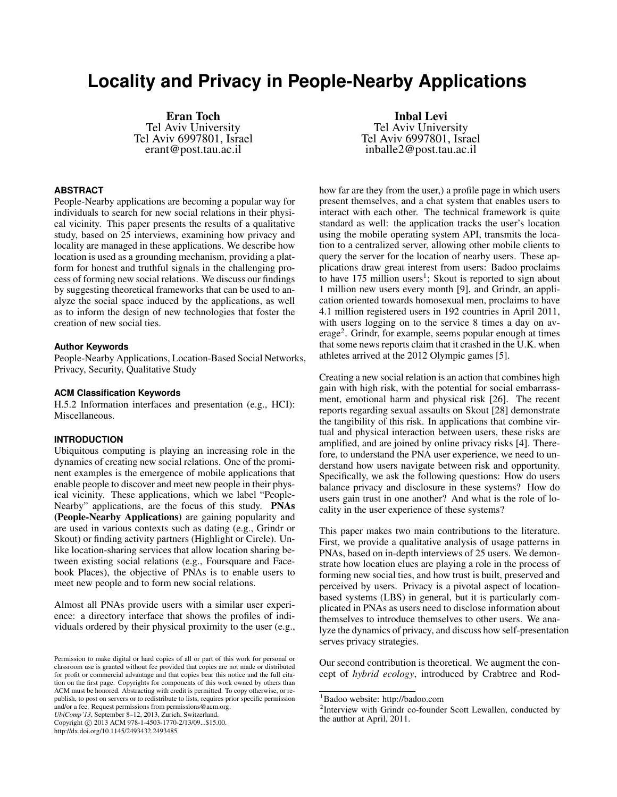# **Locality and Privacy in People-Nearby Applications**

Eran Toch Tel Aviv University Tel Aviv 6997801, Israel erant@post.tau.ac.il

Inbal Levi Tel Aviv University Tel Aviv 6997801, Israel inballe2@post.tau.ac.il

# **ABSTRACT**

People-Nearby applications are becoming a popular way for individuals to search for new social relations in their physical vicinity. This paper presents the results of a qualitative study, based on 25 interviews, examining how privacy and locality are managed in these applications. We describe how location is used as a grounding mechanism, providing a platform for honest and truthful signals in the challenging process of forming new social relations. We discuss our findings by suggesting theoretical frameworks that can be used to analyze the social space induced by the applications, as well as to inform the design of new technologies that foster the creation of new social ties.

#### **Author Keywords**

People-Nearby Applications, Location-Based Social Networks, Privacy, Security, Qualitative Study

#### **ACM Classification Keywords**

H.5.2 Information interfaces and presentation (e.g., HCI): Miscellaneous.

#### **INTRODUCTION**

Ubiquitous computing is playing an increasing role in the dynamics of creating new social relations. One of the prominent examples is the emergence of mobile applications that enable people to discover and meet new people in their physical vicinity. These applications, which we label "People-Nearby" applications, are the focus of this study. PNAs (People-Nearby Applications) are gaining popularity and are used in various contexts such as dating (e.g., Grindr or Skout) or finding activity partners (Highlight or Circle). Unlike location-sharing services that allow location sharing between existing social relations (e.g., Foursquare and Facebook Places), the objective of PNAs is to enable users to meet new people and to form new social relations.

Almost all PNAs provide users with a similar user experience: a directory interface that shows the profiles of individuals ordered by their physical proximity to the user (e.g.,

*UbiComp'13*, September 8–12, 2013, Zurich, Switzerland.

Copyright © 2013 ACM 978-1-4503-1770-2/13/09...\$15.00.

http://dx.doi.org/10.1145/2493432.2493485

how far are they from the user,) a profile page in which users present themselves, and a chat system that enables users to interact with each other. The technical framework is quite standard as well: the application tracks the user's location using the mobile operating system API, transmits the location to a centralized server, allowing other mobile clients to query the server for the location of nearby users. These applications draw great interest from users: Badoo proclaims to have [1](#page-0-0)75 million users<sup>1</sup>; Skout is reported to sign about 1 million new users every month [\[9\]](#page-9-0), and Grindr, an application oriented towards homosexual men, proclaims to have 4.1 million registered users in 192 countries in April 2011, with users logging on to the service 8 times a day on av-erage<sup>[2](#page-0-1)</sup>. Grindr, for example, seems popular enough at times that some news reports claim that it crashed in the U.K. when athletes arrived at the 2012 Olympic games [\[5\]](#page-8-0).

Creating a new social relation is an action that combines high gain with high risk, with the potential for social embarrassment, emotional harm and physical risk [\[26\]](#page-9-1). The recent reports regarding sexual assaults on Skout [\[28\]](#page-9-2) demonstrate the tangibility of this risk. In applications that combine virtual and physical interaction between users, these risks are amplified, and are joined by online privacy risks [\[4\]](#page-8-1). Therefore, to understand the PNA user experience, we need to understand how users navigate between risk and opportunity. Specifically, we ask the following questions: How do users balance privacy and disclosure in these systems? How do users gain trust in one another? And what is the role of locality in the user experience of these systems?

This paper makes two main contributions to the literature. First, we provide a qualitative analysis of usage patterns in PNAs, based on in-depth interviews of 25 users. We demonstrate how location clues are playing a role in the process of forming new social ties, and how trust is built, preserved and perceived by users. Privacy is a pivotal aspect of locationbased systems (LBS) in general, but it is particularly complicated in PNAs as users need to disclose information about themselves to introduce themselves to other users. We analyze the dynamics of privacy, and discuss how self-presentation serves privacy strategies.

Our second contribution is theoretical. We augment the concept of *hybrid ecology*, introduced by Crabtree and Rod-

Permission to make digital or hard copies of all or part of this work for personal or classroom use is granted without fee provided that copies are not made or distributed for profit or commercial advantage and that copies bear this notice and the full citation on the first page. Copyrights for components of this work owned by others than ACM must be honored. Abstracting with credit is permitted. To copy otherwise, or republish, to post on servers or to redistribute to lists, requires prior specific permission and/or a fee. Request permissions from permissions@acm.org.

<span id="page-0-0"></span><sup>1</sup>Badoo website: http://badoo.com

<span id="page-0-1"></span><sup>&</sup>lt;sup>2</sup>Interview with Grindr co-founder Scott Lewallen, conducted by the author at April, 2011.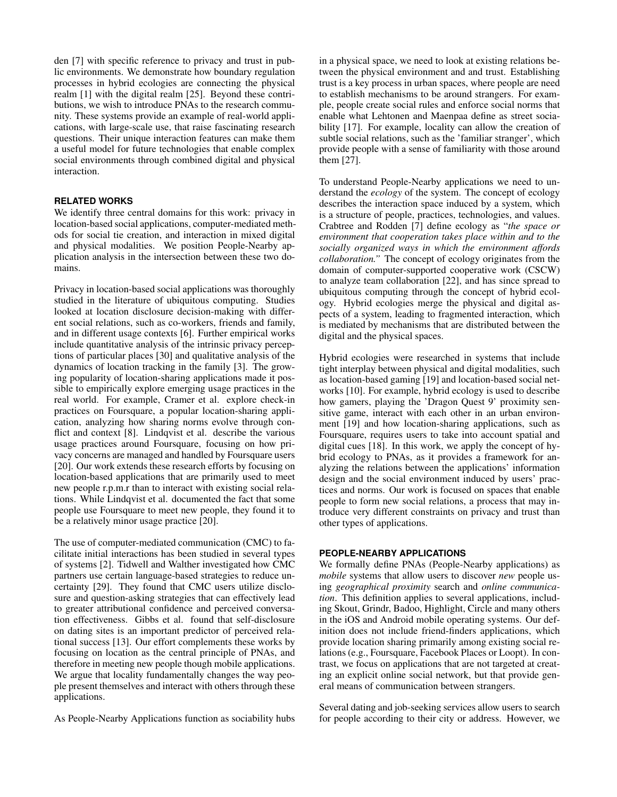den [\[7\]](#page-8-2) with specific reference to privacy and trust in public environments. We demonstrate how boundary regulation processes in hybrid ecologies are connecting the physical realm [\[1\]](#page-8-3) with the digital realm [\[25\]](#page-9-3). Beyond these contributions, we wish to introduce PNAs to the research community. These systems provide an example of real-world applications, with large-scale use, that raise fascinating research questions. Their unique interaction features can make them a useful model for future technologies that enable complex social environments through combined digital and physical interaction.

# **RELATED WORKS**

We identify three central domains for this work: privacy in location-based social applications, computer-mediated methods for social tie creation, and interaction in mixed digital and physical modalities. We position People-Nearby application analysis in the intersection between these two domains.

Privacy in location-based social applications was thoroughly studied in the literature of ubiquitous computing. Studies looked at location disclosure decision-making with different social relations, such as co-workers, friends and family, and in different usage contexts [\[6\]](#page-8-4). Further empirical works include quantitative analysis of the intrinsic privacy perceptions of particular places [\[30\]](#page-9-4) and qualitative analysis of the dynamics of location tracking in the family [\[3\]](#page-8-5). The growing popularity of location-sharing applications made it possible to empirically explore emerging usage practices in the real world. For example, Cramer et al. explore check-in practices on Foursquare, a popular location-sharing application, analyzing how sharing norms evolve through con-flict and context [\[8\]](#page-9-5). Lindqvist et al. describe the various usage practices around Foursquare, focusing on how privacy concerns are managed and handled by Foursquare users [\[20\]](#page-9-6). Our work extends these research efforts by focusing on location-based applications that are primarily used to meet new people r.p.m.r than to interact with existing social relations. While Lindqvist et al. documented the fact that some people use Foursquare to meet new people, they found it to be a relatively minor usage practice [\[20\]](#page-9-6).

The use of computer-mediated communication (CMC) to facilitate initial interactions has been studied in several types of systems [\[2\]](#page-8-6). Tidwell and Walther investigated how CMC partners use certain language-based strategies to reduce uncertainty [\[29\]](#page-9-7). They found that CMC users utilize disclosure and question-asking strategies that can effectively lead to greater attributional confidence and perceived conversation effectiveness. Gibbs et al. found that self-disclosure on dating sites is an important predictor of perceived relational success [\[13\]](#page-9-8). Our effort complements these works by focusing on location as the central principle of PNAs, and therefore in meeting new people though mobile applications. We argue that locality fundamentally changes the way people present themselves and interact with others through these applications.

As People-Nearby Applications function as sociability hubs

in a physical space, we need to look at existing relations between the physical environment and and trust. Establishing trust is a key process in urban spaces, where people are need to establish mechanisms to be around strangers. For example, people create social rules and enforce social norms that enable what Lehtonen and Maenpaa define as street sociability [\[17\]](#page-9-9). For example, locality can allow the creation of subtle social relations, such as the 'familiar stranger', which provide people with a sense of familiarity with those around them [\[27\]](#page-9-10).

To understand People-Nearby applications we need to understand the *ecology* of the system. The concept of ecology describes the interaction space induced by a system, which is a structure of people, practices, technologies, and values. Crabtree and Rodden [\[7\]](#page-8-2) define ecology as "*the space or environment that cooperation takes place within and to the socially organized ways in which the environment affords collaboration."* The concept of ecology originates from the domain of computer-supported cooperative work (CSCW) to analyze team collaboration [\[22\]](#page-9-11), and has since spread to ubiquitous computing through the concept of hybrid ecology. Hybrid ecologies merge the physical and digital aspects of a system, leading to fragmented interaction, which is mediated by mechanisms that are distributed between the digital and the physical spaces.

Hybrid ecologies were researched in systems that include tight interplay between physical and digital modalities, such as location-based gaming [\[19\]](#page-9-12) and location-based social networks [\[10\]](#page-9-13). For example, hybrid ecology is used to describe how gamers, playing the 'Dragon Quest 9' proximity sensitive game, interact with each other in an urban environment [\[19\]](#page-9-12) and how location-sharing applications, such as Foursquare, requires users to take into account spatial and digital cues [\[18\]](#page-9-14). In this work, we apply the concept of hybrid ecology to PNAs, as it provides a framework for analyzing the relations between the applications' information design and the social environment induced by users' practices and norms. Our work is focused on spaces that enable people to form new social relations, a process that may introduce very different constraints on privacy and trust than other types of applications.

# **PEOPLE-NEARBY APPLICATIONS**

We formally define PNAs (People-Nearby applications) as *mobile* systems that allow users to discover *new* people using *geographical proximity* search and *online communication*. This definition applies to several applications, including Skout, Grindr, Badoo, Highlight, Circle and many others in the iOS and Android mobile operating systems. Our definition does not include friend-finders applications, which provide location sharing primarily among existing social relations (e.g., Foursquare, Facebook Places or Loopt). In contrast, we focus on applications that are not targeted at creating an explicit online social network, but that provide general means of communication between strangers.

Several dating and job-seeking services allow users to search for people according to their city or address. However, we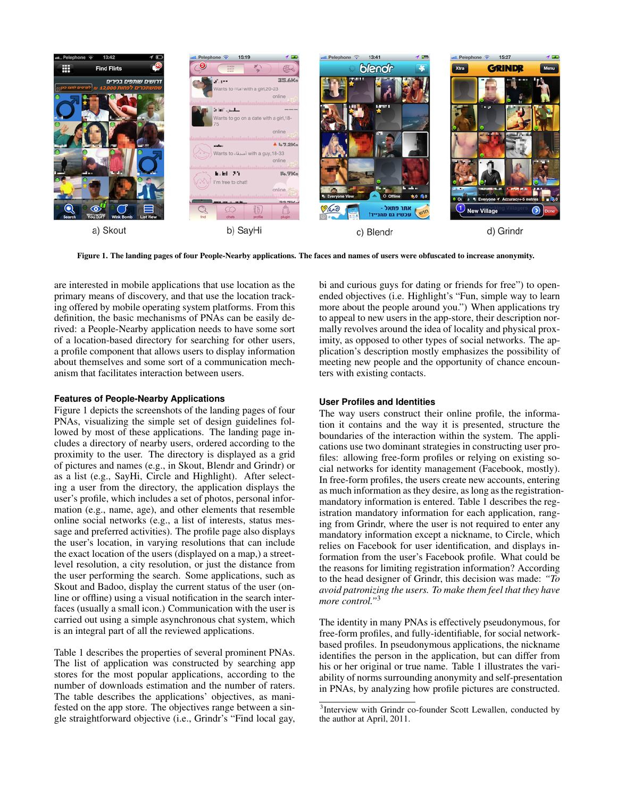

Figure 1. The landing pages of four People-Nearby applications. The faces and names of users were obfuscated to increase anonymity.

<span id="page-2-0"></span>are interested in mobile applications that use location as the primary means of discovery, and that use the location tracking offered by mobile operating system platforms. From this definition, the basic mechanisms of PNAs can be easily derived: a People-Nearby application needs to have some sort of a location-based directory for searching for other users, a profile component that allows users to display information about themselves and some sort of a communication mechanism that facilitates interaction between users.

## **Features of People-Nearby Applications**

Figure [1](#page-2-0) depicts the screenshots of the landing pages of four PNAs, visualizing the simple set of design guidelines followed by most of these applications. The landing page includes a directory of nearby users, ordered according to the proximity to the user. The directory is displayed as a grid of pictures and names (e.g., in Skout, Blendr and Grindr) or as a list (e.g., SayHi, Circle and Highlight). After selecting a user from the directory, the application displays the user's profile, which includes a set of photos, personal information (e.g., name, age), and other elements that resemble online social networks (e.g., a list of interests, status message and preferred activities). The profile page also displays the user's location, in varying resolutions that can include the exact location of the users (displayed on a map,) a streetlevel resolution, a city resolution, or just the distance from the user performing the search. Some applications, such as Skout and Badoo, display the current status of the user (online or offline) using a visual notification in the search interfaces (usually a small icon.) Communication with the user is carried out using a simple asynchronous chat system, which is an integral part of all the reviewed applications.

Table 1 describes the properties of several prominent PNAs. The list of application was constructed by searching app stores for the most popular applications, according to the number of downloads estimation and the number of raters. The table describes the applications' objectives, as manifested on the app store. The objectives range between a single straightforward objective (i.e., Grindr's "Find local gay, bi and curious guys for dating or friends for free") to openended objectives (i.e. Highlight's "Fun, simple way to learn more about the people around you.") When applications try to appeal to new users in the app-store, their description normally revolves around the idea of locality and physical proximity, as opposed to other types of social networks. The application's description mostly emphasizes the possibility of meeting new people and the opportunity of chance encounters with existing contacts.

#### **User Profiles and Identities**

The way users construct their online profile, the information it contains and the way it is presented, structure the boundaries of the interaction within the system. The applications use two dominant strategies in constructing user profiles: allowing free-form profiles or relying on existing social networks for identity management (Facebook, mostly). In free-form profiles, the users create new accounts, entering as much information as they desire, as long as the registrationmandatory information is entered. Table 1 describes the registration mandatory information for each application, ranging from Grindr, where the user is not required to enter any mandatory information except a nickname, to Circle, which relies on Facebook for user identification, and displays information from the user's Facebook profile. What could be the reasons for limiting registration information? According to the head designer of Grindr, this decision was made: *"To avoid patronizing the users. To make them feel that they have more control."*[3](#page-2-1)

The identity in many PNAs is effectively pseudonymous, for free-form profiles, and fully-identifiable, for social networkbased profiles. In pseudonymous applications, the nickname identifies the person in the application, but can differ from his or her original or true name. Table 1 illustrates the variability of norms surrounding anonymity and self-presentation in PNAs, by analyzing how profile pictures are constructed.

<span id="page-2-1"></span><sup>&</sup>lt;sup>3</sup>Interview with Grindr co-founder Scott Lewallen, conducted by the author at April, 2011.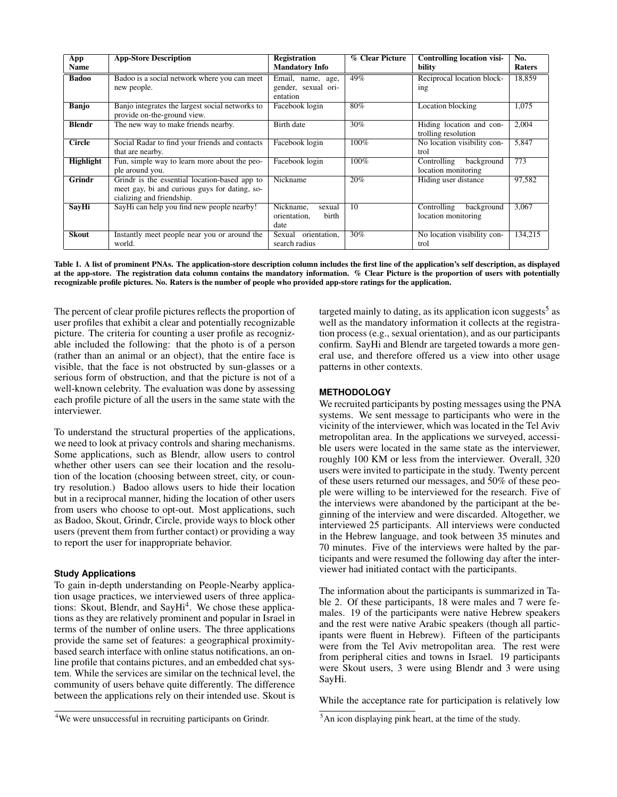| App<br><b>Name</b> | <b>App-Store Description</b>                                                                                                | <b>Registration</b><br><b>Mandatory Info</b>         | % Clear Picture | <b>Controlling location visi-</b><br>bility      | No.<br><b>Raters</b> |
|--------------------|-----------------------------------------------------------------------------------------------------------------------------|------------------------------------------------------|-----------------|--------------------------------------------------|----------------------|
| <b>Badoo</b>       | Badoo is a social network where you can meet<br>new people.                                                                 | Email, name, age,<br>gender, sexual ori-<br>entation | 49%             | Reciprocal location block-<br>ing                | 18,859               |
| <b>Banjo</b>       | Banjo integrates the largest social networks to<br>provide on-the-ground view.                                              | Facebook login                                       | 80%             | Location blocking                                | 1.075                |
| <b>Blendr</b>      | The new way to make friends nearby.                                                                                         | Birth date                                           | 30%             | Hiding location and con-<br>trolling resolution  | 2,004                |
| <b>Circle</b>      | Social Radar to find your friends and contacts<br>that are nearby.                                                          | Facebook login                                       | 100%            | No location visibility con-<br>trol              | 5,847                |
| <b>Highlight</b>   | Fun, simple way to learn more about the peo-<br>ple around you.                                                             | Facebook login                                       | 100%            | Controlling<br>background<br>location monitoring | 773                  |
| Grindr             | Grindr is the essential location-based app to<br>meet gay, bi and curious guys for dating, so-<br>cializing and friendship. | Nickname                                             | 20%             | Hiding user distance                             | 97,582               |
| SayHi              | SayHi can help you find new people nearby!                                                                                  | Nickname,<br>sexual<br>birth<br>orientation,<br>date | 10              | Controlling<br>background<br>location monitoring | 3,067                |
| <b>Skout</b>       | Instantly meet people near you or around the<br>world.                                                                      | orientation,<br>Sexual<br>search radius              | 30%             | No location visibility con-<br>trol              | 134,215              |

Table 1. A list of prominent PNAs. The application-store description column includes the first line of the application's self description, as displayed at the app-store. The registration data column contains the mandatory information. % Clear Picture is the proportion of users with potentially recognizable profile pictures. No. Raters is the number of people who provided app-store ratings for the application.

The percent of clear profile pictures reflects the proportion of user profiles that exhibit a clear and potentially recognizable picture. The criteria for counting a user profile as recognizable included the following: that the photo is of a person (rather than an animal or an object), that the entire face is visible, that the face is not obstructed by sun-glasses or a serious form of obstruction, and that the picture is not of a well-known celebrity. The evaluation was done by assessing each profile picture of all the users in the same state with the interviewer.

To understand the structural properties of the applications, we need to look at privacy controls and sharing mechanisms. Some applications, such as Blendr, allow users to control whether other users can see their location and the resolution of the location (choosing between street, city, or country resolution.) Badoo allows users to hide their location but in a reciprocal manner, hiding the location of other users from users who choose to opt-out. Most applications, such as Badoo, Skout, Grindr, Circle, provide ways to block other users (prevent them from further contact) or providing a way to report the user for inappropriate behavior.

#### **Study Applications**

To gain in-depth understanding on People-Nearby application usage practices, we interviewed users of three applica-tions: Skout, Blendr, and SayHi<sup>[4](#page-3-0)</sup>. We chose these applications as they are relatively prominent and popular in Israel in terms of the number of online users. The three applications provide the same set of features: a geographical proximitybased search interface with online status notifications, an online profile that contains pictures, and an embedded chat system. While the services are similar on the technical level, the community of users behave quite differently. The difference between the applications rely on their intended use. Skout is

targeted mainly to dating, as its application icon suggests<sup>[5](#page-3-1)</sup> as well as the mandatory information it collects at the registration process (e.g., sexual orientation), and as our participants confirm. SayHi and Blendr are targeted towards a more general use, and therefore offered us a view into other usage patterns in other contexts.

# **METHODOLOGY**

We recruited participants by posting messages using the PNA systems. We sent message to participants who were in the vicinity of the interviewer, which was located in the Tel Aviv metropolitan area. In the applications we surveyed, accessible users were located in the same state as the interviewer, roughly 100 KM or less from the interviewer. Overall, 320 users were invited to participate in the study. Twenty percent of these users returned our messages, and 50% of these people were willing to be interviewed for the research. Five of the interviews were abandoned by the participant at the beginning of the interview and were discarded. Altogether, we interviewed 25 participants. All interviews were conducted in the Hebrew language, and took between 35 minutes and 70 minutes. Five of the interviews were halted by the participants and were resumed the following day after the interviewer had initiated contact with the participants.

The information about the participants is summarized in Table 2. Of these participants, 18 were males and 7 were females. 19 of the participants were native Hebrew speakers and the rest were native Arabic speakers (though all participants were fluent in Hebrew). Fifteen of the participants were from the Tel Aviv metropolitan area. The rest were from peripheral cities and towns in Israel. 19 participants were Skout users, 3 were using Blendr and 3 were using SayHi.

While the acceptance rate for participation is relatively low

<span id="page-3-0"></span><sup>4</sup>We were unsuccessful in recruiting participants on Grindr.

<span id="page-3-1"></span> $5$ An icon displaying pink heart, at the time of the study.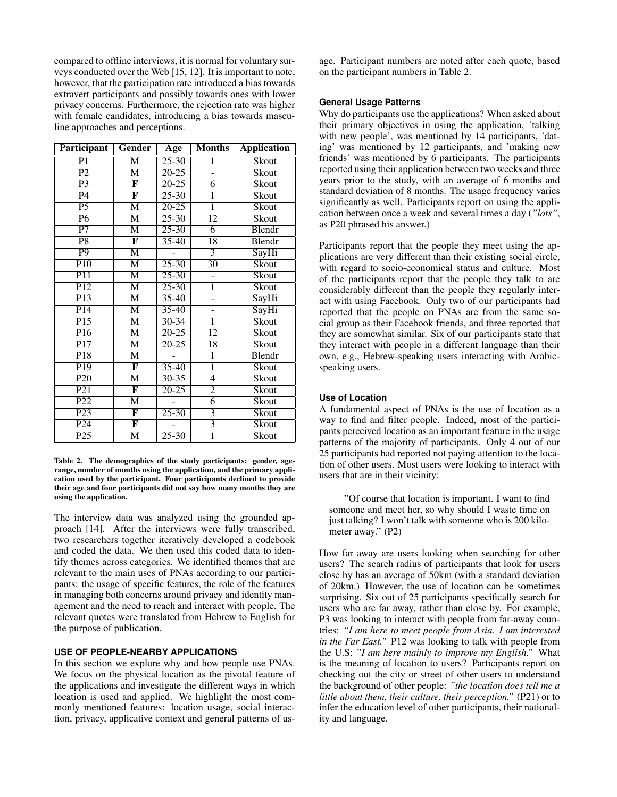compared to offline interviews, it is normal for voluntary surveys conducted over the Web [\[15,](#page-9-15) [12\]](#page-9-16). It is important to note, however, that the participation rate introduced a bias towards extravert participants and possibly towards ones with lower privacy concerns. Furthermore, the rejection rate was higher with female candidates, introducing a bias towards masculine approaches and perceptions.

| Participant      | Gender                  | Age                | <b>Months</b>            | <b>Application</b> |
|------------------|-------------------------|--------------------|--------------------------|--------------------|
| $\overline{P1}$  | M                       | $\overline{25-30}$ | 1                        | Skout              |
| $\overline{P2}$  | $\overline{\mathbf{M}}$ | $\overline{20-25}$ | $\overline{a}$           | Skout              |
| $\overline{P3}$  | $\overline{\text{F}}$   | $\overline{20-25}$ | $\overline{6}$           | <b>Skout</b>       |
| $\overline{P4}$  | $\overline{\mathbf{F}}$ | $25 - 30$          | ī                        | Skout              |
| $\overline{P5}$  | М                       | $20 - 25$          | Ī                        | Skout              |
| $\overline{P6}$  | $\overline{\mathbf{M}}$ | $25 - 30$          | $\overline{12}$          | <b>Skout</b>       |
| $\overline{P7}$  | $\overline{\mathrm{M}}$ | $\overline{25-30}$ | $\overline{6}$           | <b>Blendr</b>      |
| $\overline{P8}$  | $\overline{\mathbf{F}}$ | $35 - 40$          | $\overline{18}$          | <b>Blendr</b>      |
| P <sub>9</sub>   | $\overline{\mathbf{M}}$ |                    | $\overline{3}$           | SayHi              |
| $\overline{P10}$ | $\overline{\mathbf{M}}$ | $\overline{25-30}$ | $\overline{30}$          | <b>Skout</b>       |
| P11              | $\overline{\mathrm{M}}$ | $25 - 30$          | $\overline{a}$           | <b>Skout</b>       |
| P12              | M                       | $25 - 30$          | $\overline{1}$           | Skout              |
| P13              | $\overline{\mathbf{M}}$ | $35 - 40$          | $\overline{a}$           | SayHi              |
| $\overline{P14}$ | $\overline{\mathrm{M}}$ | $35 - 40$          | $\overline{\phantom{0}}$ | SayHi              |
| P15              | $\overline{\mathrm{M}}$ | $30 - 34$          | $\overline{1}$           | Skout              |
| P16              | $\overline{\mathbf{M}}$ | $20 - 25$          | 12                       | Skout              |
| $\overline{P17}$ | $\overline{\mathbf{M}}$ | $\overline{20-25}$ | $\overline{18}$          | Skout              |
| P18              | $\overline{\mathrm{M}}$ |                    | $\overline{1}$           | Blendr             |
| P <sub>19</sub>  | F                       | $35 - 40$          | Ī                        | Skout              |
| P20              | $\overline{\mathbf{M}}$ | $30 - 35$          | $\overline{4}$           | <b>Skout</b>       |
| $\overline{P21}$ | $\overline{\mathbf{F}}$ | $20 - 25$          | $\overline{2}$           | <b>Skout</b>       |
| P22              | $\overline{\mathbf{M}}$ |                    | $\overline{6}$           | Skout              |
| P23              | $\overline{\textbf{F}}$ | $\overline{25-30}$ | $\overline{3}$           | Skout              |
| $\overline{P24}$ | $\overline{\mathbf{F}}$ |                    | $\overline{3}$           | <b>Skout</b>       |
| $\overline{P25}$ | $\overline{\mathrm{M}}$ | $\overline{25-30}$ | $\overline{1}$           | Skout              |

Table 2. The demographics of the study participants: gender, agerange, number of months using the application, and the primary application used by the participant. Four participants declined to provide their age and four participants did not say how many months they are using the application.

The interview data was analyzed using the grounded approach [\[14\]](#page-9-17). After the interviews were fully transcribed, two researchers together iteratively developed a codebook and coded the data. We then used this coded data to identify themes across categories. We identified themes that are relevant to the main uses of PNAs according to our participants: the usage of specific features, the role of the features in managing both concerns around privacy and identity management and the need to reach and interact with people. The relevant quotes were translated from Hebrew to English for the purpose of publication.

#### **USE OF PEOPLE-NEARBY APPLICATIONS**

In this section we explore why and how people use PNAs. We focus on the physical location as the pivotal feature of the applications and investigate the different ways in which location is used and applied. We highlight the most commonly mentioned features: location usage, social interaction, privacy, applicative context and general patterns of usage. Participant numbers are noted after each quote, based on the participant numbers in Table 2.

#### **General Usage Patterns**

Why do participants use the applications? When asked about their primary objectives in using the application, 'talking with new people', was mentioned by 14 participants, 'dating' was mentioned by 12 participants, and 'making new friends' was mentioned by 6 participants. The participants reported using their application between two weeks and three years prior to the study, with an average of 6 months and standard deviation of 8 months. The usage frequency varies significantly as well. Participants report on using the application between once a week and several times a day (*"lots"*, as P20 phrased his answer.)

Participants report that the people they meet using the applications are very different than their existing social circle, with regard to socio-economical status and culture. Most of the participants report that the people they talk to are considerably different than the people they regularly interact with using Facebook. Only two of our participants had reported that the people on PNAs are from the same social group as their Facebook friends, and three reported that they are somewhat similar. Six of our participants state that they interact with people in a different language than their own, e.g., Hebrew-speaking users interacting with Arabicspeaking users.

# **Use of Location**

A fundamental aspect of PNAs is the use of location as a way to find and filter people. Indeed, most of the participants perceived location as an important feature in the usage patterns of the majority of participants. Only 4 out of our 25 participants had reported not paying attention to the location of other users. Most users were looking to interact with users that are in their vicinity:

"Of course that location is important. I want to find someone and meet her, so why should I waste time on just talking? I won't talk with someone who is 200 kilometer away." (P2)

How far away are users looking when searching for other users? The search radius of participants that look for users close by has an average of 50km (with a standard deviation of 20km.) However, the use of location can be sometimes surprising. Six out of 25 participants specifically search for users who are far away, rather than close by. For example, P3 was looking to interact with people from far-away countries: *"I am here to meet people from Asia. I am interested in the Far East."* P12 was looking to talk with people from the U.S: *"I am here mainly to improve my English."* What is the meaning of location to users? Participants report on checking out the city or street of other users to understand the background of other people: *"the location does tell me a little about them, their culture, their perception."* (P21) or to infer the education level of other participants, their nationality and language.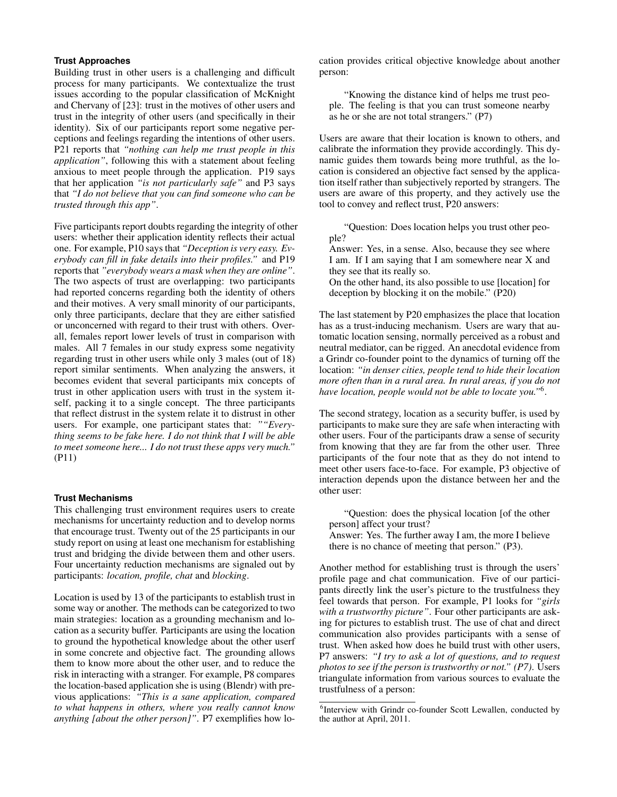# **Trust Approaches**

Building trust in other users is a challenging and difficult process for many participants. We contextualize the trust issues according to the popular classification of McKnight and Chervany of [\[23\]](#page-9-18): trust in the motives of other users and trust in the integrity of other users (and specifically in their identity). Six of our participants report some negative perceptions and feelings regarding the intentions of other users. P21 reports that *"nothing can help me trust people in this application"*, following this with a statement about feeling anxious to meet people through the application. P19 says that her application *"is not particularly safe"* and P3 says that *"I do not believe that you can find someone who can be trusted through this app"*.

Five participants report doubts regarding the integrity of other users: whether their application identity reflects their actual one. For example, P10 says that *"Deception is very easy. Everybody can fill in fake details into their profiles."* and P19 reports that *"everybody wears a mask when they are online"*. The two aspects of trust are overlapping: two participants had reported concerns regarding both the identity of others and their motives. A very small minority of our participants, only three participants, declare that they are either satisfied or unconcerned with regard to their trust with others. Overall, females report lower levels of trust in comparison with males. All 7 females in our study express some negativity regarding trust in other users while only 3 males (out of 18) report similar sentiments. When analyzing the answers, it becomes evident that several participants mix concepts of trust in other application users with trust in the system itself, packing it to a single concept. The three participants that reflect distrust in the system relate it to distrust in other users. For example, one participant states that: *""Everything seems to be fake here. I do not think that I will be able to meet someone here... I do not trust these apps very much."* (P11)

## **Trust Mechanisms**

This challenging trust environment requires users to create mechanisms for uncertainty reduction and to develop norms that encourage trust. Twenty out of the 25 participants in our study report on using at least one mechanism for establishing trust and bridging the divide between them and other users. Four uncertainty reduction mechanisms are signaled out by participants: *location, profile, chat* and *blocking*.

Location is used by 13 of the participants to establish trust in some way or another. The methods can be categorized to two main strategies: location as a grounding mechanism and location as a security buffer. Participants are using the location to ground the hypothetical knowledge about the other userf in some concrete and objective fact. The grounding allows them to know more about the other user, and to reduce the risk in interacting with a stranger. For example, P8 compares the location-based application she is using (Blendr) with previous applications: *"This is a sane application, compared to what happens in others, where you really cannot know anything [about the other person]"*. P7 exemplifies how location provides critical objective knowledge about another person:

"Knowing the distance kind of helps me trust people. The feeling is that you can trust someone nearby as he or she are not total strangers." (P7)

Users are aware that their location is known to others, and calibrate the information they provide accordingly. This dynamic guides them towards being more truthful, as the location is considered an objective fact sensed by the application itself rather than subjectively reported by strangers. The users are aware of this property, and they actively use the tool to convey and reflect trust, P20 answers:

"Question: Does location helps you trust other people?

Answer: Yes, in a sense. Also, because they see where I am. If I am saying that I am somewhere near X and they see that its really so.

On the other hand, its also possible to use [location] for deception by blocking it on the mobile." (P20)

The last statement by P20 emphasizes the place that location has as a trust-inducing mechanism. Users are wary that automatic location sensing, normally perceived as a robust and neutral mediator, can be rigged. An anecdotal evidence from a Grindr co-founder point to the dynamics of turning off the location: *"in denser cities, people tend to hide their location more often than in a rural area. In rural areas, if you do not have location, people would not be able to locate you."*[6](#page-5-0) .

The second strategy, location as a security buffer, is used by participants to make sure they are safe when interacting with other users. Four of the participants draw a sense of security from knowing that they are far from the other user. Three participants of the four note that as they do not intend to meet other users face-to-face. For example, P3 objective of interaction depends upon the distance between her and the other user:

"Question: does the physical location [of the other person] affect your trust?

Answer: Yes. The further away I am, the more I believe there is no chance of meeting that person." (P3).

Another method for establishing trust is through the users' profile page and chat communication. Five of our participants directly link the user's picture to the trustfulness they feel towards that person. For example, P1 looks for *"girls with a trustworthy picture"*. Four other participants are asking for pictures to establish trust. The use of chat and direct communication also provides participants with a sense of trust. When asked how does he build trust with other users, P7 answers: *"I try to ask a lot of questions, and to request photos to see if the person is trustworthy or not." (P7)*. Users triangulate information from various sources to evaluate the trustfulness of a person:

<span id="page-5-0"></span><sup>&</sup>lt;sup>6</sup>Interview with Grindr co-founder Scott Lewallen, conducted by the author at April, 2011.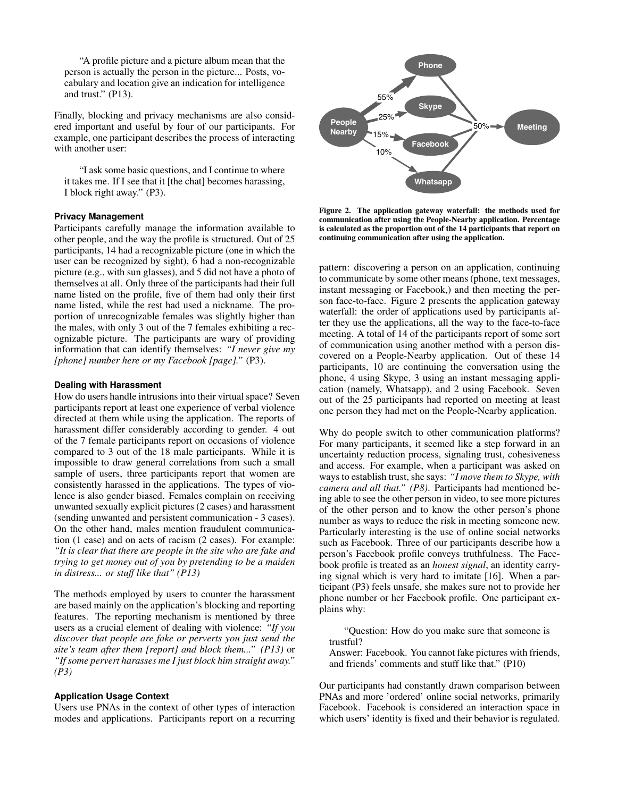"A profile picture and a picture album mean that the person is actually the person in the picture... Posts, vocabulary and location give an indication for intelligence and trust." (P13).

Finally, blocking and privacy mechanisms are also considered important and useful by four of our participants. For example, one participant describes the process of interacting with another user:

"I ask some basic questions, and I continue to where it takes me. If I see that it [the chat] becomes harassing, I block right away." (P3).

#### **Privacy Management**

Participants carefully manage the information available to other people, and the way the profile is structured. Out of 25 participants, 14 had a recognizable picture (one in which the user can be recognized by sight), 6 had a non-recognizable picture (e.g., with sun glasses), and 5 did not have a photo of themselves at all. Only three of the participants had their full name listed on the profile, five of them had only their first name listed, while the rest had used a nickname. The proportion of unrecognizable females was slightly higher than the males, with only 3 out of the 7 females exhibiting a recognizable picture. The participants are wary of providing information that can identify themselves: *"I never give my [phone] number here or my Facebook [page]."* (P3).

#### **Dealing with Harassment**

How do users handle intrusions into their virtual space? Seven participants report at least one experience of verbal violence directed at them while using the application. The reports of harassment differ considerably according to gender. 4 out of the 7 female participants report on occasions of violence compared to 3 out of the 18 male participants. While it is impossible to draw general correlations from such a small sample of users, three participants report that women are consistently harassed in the applications. The types of violence is also gender biased. Females complain on receiving unwanted sexually explicit pictures (2 cases) and harassment (sending unwanted and persistent communication - 3 cases). On the other hand, males mention fraudulent communication (1 case) and on acts of racism (2 cases). For example: *"It is clear that there are people in the site who are fake and trying to get money out of you by pretending to be a maiden in distress... or stuff like that" (P13)*

The methods employed by users to counter the harassment are based mainly on the application's blocking and reporting features. The reporting mechanism is mentioned by three users as a crucial element of dealing with violence: *"If you discover that people are fake or perverts you just send the site's team after them [report] and block them..." (P13)* or *"If some pervert harasses me I just block him straight away." (P3)*

## **Application Usage Context**

Users use PNAs in the context of other types of interaction modes and applications. Participants report on a recurring



<span id="page-6-0"></span>Figure 2. The application gateway waterfall: the methods used for communication after using the People-Nearby application. Percentage is calculated as the proportion out of the 14 participants that report on continuing communication after using the application.

pattern: discovering a person on an application, continuing to communicate by some other means (phone, text messages, instant messaging or Facebook,) and then meeting the person face-to-face. Figure [2](#page-6-0) presents the application gateway waterfall: the order of applications used by participants after they use the applications, all the way to the face-to-face meeting. A total of 14 of the participants report of some sort of communication using another method with a person discovered on a People-Nearby application. Out of these 14 participants, 10 are continuing the conversation using the phone, 4 using Skype, 3 using an instant messaging application (namely, Whatsapp), and 2 using Facebook. Seven out of the 25 participants had reported on meeting at least one person they had met on the People-Nearby application.

Why do people switch to other communication platforms? For many participants, it seemed like a step forward in an uncertainty reduction process, signaling trust, cohesiveness and access. For example, when a participant was asked on ways to establish trust, she says: *"I move them to Skype, with camera and all that." (P8)*. Participants had mentioned being able to see the other person in video, to see more pictures of the other person and to know the other person's phone number as ways to reduce the risk in meeting someone new. Particularly interesting is the use of online social networks such as Facebook. Three of our participants describe how a person's Facebook profile conveys truthfulness. The Facebook profile is treated as an *honest signal*, an identity carrying signal which is very hard to imitate [\[16\]](#page-9-19). When a participant (P3) feels unsafe, she makes sure not to provide her phone number or her Facebook profile. One participant explains why:

"Question: How do you make sure that someone is trustful?

Answer: Facebook. You cannot fake pictures with friends, and friends' comments and stuff like that." (P10)

Our participants had constantly drawn comparison between PNAs and more 'ordered' online social networks, primarily Facebook. Facebook is considered an interaction space in which users' identity is fixed and their behavior is regulated.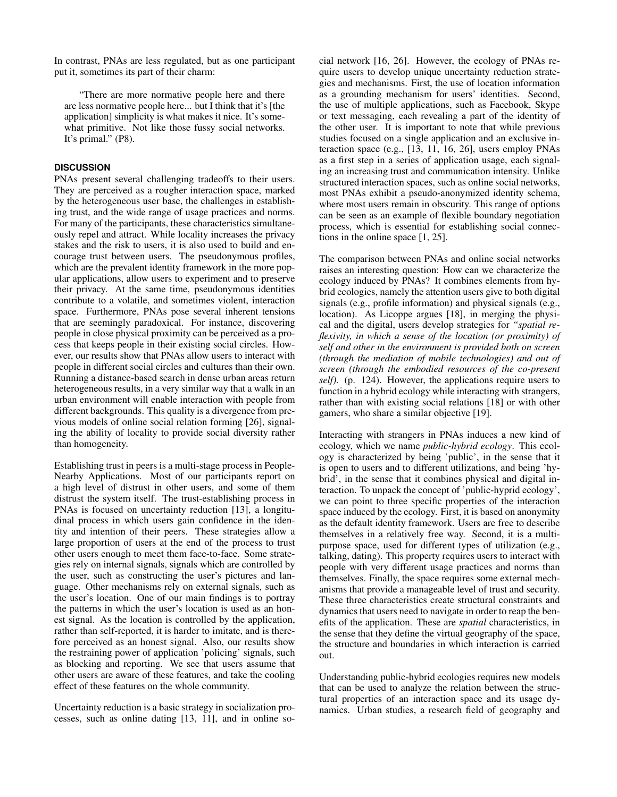In contrast, PNAs are less regulated, but as one participant put it, sometimes its part of their charm:

"There are more normative people here and there are less normative people here... but I think that it's [the application] simplicity is what makes it nice. It's somewhat primitive. Not like those fussy social networks. It's primal." (P8).

# **DISCUSSION**

PNAs present several challenging tradeoffs to their users. They are perceived as a rougher interaction space, marked by the heterogeneous user base, the challenges in establishing trust, and the wide range of usage practices and norms. For many of the participants, these characteristics simultaneously repel and attract. While locality increases the privacy stakes and the risk to users, it is also used to build and encourage trust between users. The pseudonymous profiles, which are the prevalent identity framework in the more popular applications, allow users to experiment and to preserve their privacy. At the same time, pseudonymous identities contribute to a volatile, and sometimes violent, interaction space. Furthermore, PNAs pose several inherent tensions that are seemingly paradoxical. For instance, discovering people in close physical proximity can be perceived as a process that keeps people in their existing social circles. However, our results show that PNAs allow users to interact with people in different social circles and cultures than their own. Running a distance-based search in dense urban areas return heterogeneous results, in a very similar way that a walk in an urban environment will enable interaction with people from different backgrounds. This quality is a divergence from previous models of online social relation forming [\[26\]](#page-9-1), signaling the ability of locality to provide social diversity rather than homogeneity.

Establishing trust in peers is a multi-stage process in People-Nearby Applications. Most of our participants report on a high level of distrust in other users, and some of them distrust the system itself. The trust-establishing process in PNAs is focused on uncertainty reduction [\[13\]](#page-9-8), a longitudinal process in which users gain confidence in the identity and intention of their peers. These strategies allow a large proportion of users at the end of the process to trust other users enough to meet them face-to-face. Some strategies rely on internal signals, signals which are controlled by the user, such as constructing the user's pictures and language. Other mechanisms rely on external signals, such as the user's location. One of our main findings is to portray the patterns in which the user's location is used as an honest signal. As the location is controlled by the application, rather than self-reported, it is harder to imitate, and is therefore perceived as an honest signal. Also, our results show the restraining power of application 'policing' signals, such as blocking and reporting. We see that users assume that other users are aware of these features, and take the cooling effect of these features on the whole community.

Uncertainty reduction is a basic strategy in socialization processes, such as online dating [\[13,](#page-9-8) [11\]](#page-9-20), and in online social network [\[16,](#page-9-19) [26\]](#page-9-1). However, the ecology of PNAs require users to develop unique uncertainty reduction strategies and mechanisms. First, the use of location information as a grounding mechanism for users' identities. Second, the use of multiple applications, such as Facebook, Skype or text messaging, each revealing a part of the identity of the other user. It is important to note that while previous studies focused on a single application and an exclusive interaction space (e.g.,  $[13, 11, 16, 26]$  $[13, 11, 16, 26]$  $[13, 11, 16, 26]$  $[13, 11, 16, 26]$  $[13, 11, 16, 26]$  $[13, 11, 16, 26]$  $[13, 11, 16, 26]$ , users employ PNAs as a first step in a series of application usage, each signaling an increasing trust and communication intensity. Unlike structured interaction spaces, such as online social networks, most PNAs exhibit a pseudo-anonymized identity schema, where most users remain in obscurity. This range of options can be seen as an example of flexible boundary negotiation process, which is essential for establishing social connections in the online space [\[1,](#page-8-3) [25\]](#page-9-3).

The comparison between PNAs and online social networks raises an interesting question: How can we characterize the ecology induced by PNAs? It combines elements from hybrid ecologies, namely the attention users give to both digital signals (e.g., profile information) and physical signals (e.g., location). As Licoppe argues [\[18\]](#page-9-14), in merging the physical and the digital, users develop strategies for *"spatial reflexivity, in which a sense of the location (or proximity) of self and other in the environment is provided both on screen (through the mediation of mobile technologies) and out of screen (through the embodied resources of the co-present self).* (p. 124). However, the applications require users to function in a hybrid ecology while interacting with strangers, rather than with existing social relations [\[18\]](#page-9-14) or with other gamers, who share a similar objective [\[19\]](#page-9-12).

Interacting with strangers in PNAs induces a new kind of ecology, which we name *public-hybrid ecology*. This ecology is characterized by being 'public', in the sense that it is open to users and to different utilizations, and being 'hybrid', in the sense that it combines physical and digital interaction. To unpack the concept of 'public-hyprid ecology', we can point to three specific properties of the interaction space induced by the ecology. First, it is based on anonymity as the default identity framework. Users are free to describe themselves in a relatively free way. Second, it is a multipurpose space, used for different types of utilization (e.g., talking, dating). This property requires users to interact with people with very different usage practices and norms than themselves. Finally, the space requires some external mechanisms that provide a manageable level of trust and security. These three characteristics create structural constraints and dynamics that users need to navigate in order to reap the benefits of the application. These are *spatial* characteristics, in the sense that they define the virtual geography of the space, the structure and boundaries in which interaction is carried out.

Understanding public-hybrid ecologies requires new models that can be used to analyze the relation between the structural properties of an interaction space and its usage dynamics. Urban studies, a research field of geography and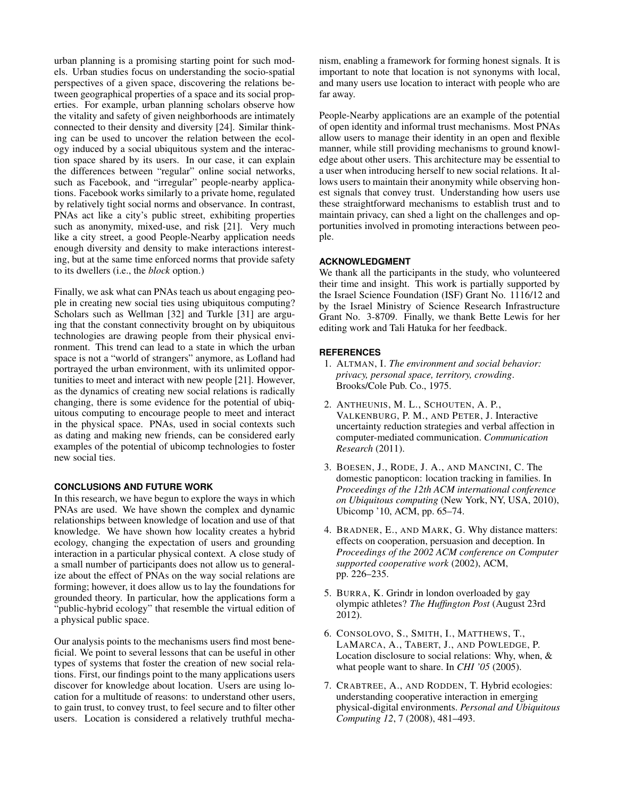urban planning is a promising starting point for such models. Urban studies focus on understanding the socio-spatial perspectives of a given space, discovering the relations between geographical properties of a space and its social properties. For example, urban planning scholars observe how the vitality and safety of given neighborhoods are intimately connected to their density and diversity [\[24\]](#page-9-21). Similar thinking can be used to uncover the relation between the ecology induced by a social ubiquitous system and the interaction space shared by its users. In our case, it can explain the differences between "regular" online social networks, such as Facebook, and "irregular" people-nearby applications. Facebook works similarly to a private home, regulated by relatively tight social norms and observance. In contrast, PNAs act like a city's public street, exhibiting properties such as anonymity, mixed-use, and risk [\[21\]](#page-9-22). Very much like a city street, a good People-Nearby application needs enough diversity and density to make interactions interesting, but at the same time enforced norms that provide safety to its dwellers (i.e., the *block* option.)

Finally, we ask what can PNAs teach us about engaging people in creating new social ties using ubiquitous computing? Scholars such as Wellman [\[32\]](#page-9-23) and Turkle [\[31\]](#page-9-24) are arguing that the constant connectivity brought on by ubiquitous technologies are drawing people from their physical environment. This trend can lead to a state in which the urban space is not a "world of strangers" anymore, as Lofland had portrayed the urban environment, with its unlimited opportunities to meet and interact with new people [\[21\]](#page-9-22). However, as the dynamics of creating new social relations is radically changing, there is some evidence for the potential of ubiquitous computing to encourage people to meet and interact in the physical space. PNAs, used in social contexts such as dating and making new friends, can be considered early examples of the potential of ubicomp technologies to foster new social ties.

#### **CONCLUSIONS AND FUTURE WORK**

In this research, we have begun to explore the ways in which PNAs are used. We have shown the complex and dynamic relationships between knowledge of location and use of that knowledge. We have shown how locality creates a hybrid ecology, changing the expectation of users and grounding interaction in a particular physical context. A close study of a small number of participants does not allow us to generalize about the effect of PNAs on the way social relations are forming; however, it does allow us to lay the foundations for grounded theory. In particular, how the applications form a "public-hybrid ecology" that resemble the virtual edition of a physical public space.

Our analysis points to the mechanisms users find most beneficial. We point to several lessons that can be useful in other types of systems that foster the creation of new social relations. First, our findings point to the many applications users discover for knowledge about location. Users are using location for a multitude of reasons: to understand other users, to gain trust, to convey trust, to feel secure and to filter other users. Location is considered a relatively truthful mechanism, enabling a framework for forming honest signals. It is important to note that location is not synonyms with local, and many users use location to interact with people who are far away.

People-Nearby applications are an example of the potential of open identity and informal trust mechanisms. Most PNAs allow users to manage their identity in an open and flexible manner, while still providing mechanisms to ground knowledge about other users. This architecture may be essential to a user when introducing herself to new social relations. It allows users to maintain their anonymity while observing honest signals that convey trust. Understanding how users use these straightforward mechanisms to establish trust and to maintain privacy, can shed a light on the challenges and opportunities involved in promoting interactions between people.

# **ACKNOWLEDGMENT**

We thank all the participants in the study, who volunteered their time and insight. This work is partially supported by the Israel Science Foundation (ISF) Grant No. 1116/12 and by the Israel Ministry of Science Research Infrastructure Grant No. 3-8709. Finally, we thank Bette Lewis for her editing work and Tali Hatuka for her feedback.

# <span id="page-8-3"></span>**REFERENCES**

- 1. ALTMAN, I. *The environment and social behavior: privacy, personal space, territory, crowding*. Brooks/Cole Pub. Co., 1975.
- <span id="page-8-6"></span>2. ANTHEUNIS, M. L., SCHOUTEN, A. P., VALKENBURG, P. M., AND PETER, J. Interactive uncertainty reduction strategies and verbal affection in computer-mediated communication. *Communication Research* (2011).
- <span id="page-8-5"></span>3. BOESEN, J., RODE, J. A., AND MANCINI, C. The domestic panopticon: location tracking in families. In *Proceedings of the 12th ACM international conference on Ubiquitous computing* (New York, NY, USA, 2010), Ubicomp '10, ACM, pp. 65–74.
- <span id="page-8-1"></span>4. BRADNER, E., AND MARK, G. Why distance matters: effects on cooperation, persuasion and deception. In *Proceedings of the 2002 ACM conference on Computer supported cooperative work* (2002), ACM, pp. 226–235.
- <span id="page-8-0"></span>5. BURRA, K. Grindr in london overloaded by gay olympic athletes? *The Huffington Post* (August 23rd 2012).
- <span id="page-8-4"></span>6. CONSOLOVO, S., SMITH, I., MATTHEWS, T., LAMARCA, A., TABERT, J., AND POWLEDGE, P. Location disclosure to social relations: Why, when, & what people want to share. In *CHI '05* (2005).
- <span id="page-8-2"></span>7. CRABTREE, A., AND RODDEN, T. Hybrid ecologies: understanding cooperative interaction in emerging physical-digital environments. *Personal and Ubiquitous Computing 12*, 7 (2008), 481–493.